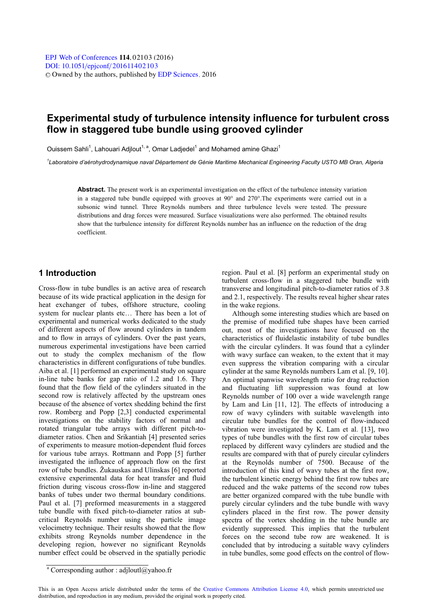# **Experimental study of turbulence intensity influence for turbulent cross flow in staggered tube bundle using grooved cylinder**

Ouissem Sahli<sup>1</sup>, Lahouari Adilout<sup>1, a</sup>, Omar Ladiedel<sup>1</sup> and Mohamed amine Ghazi<sup>1</sup>

*1 Laboratoire d'aérohydrodynamique naval Département de Génie Maritime Mechanical Engineering Faculty USTO MB Oran, Algeria* 

**Abstract.** The present work is an experimental investigation on the effect of the turbulence intensity variation in a staggered tube bundle equipped with grooves at 90° and 270°.The experiments were carried out in a subsonic wind tunnel. Three Reynolds numbers and three turbulence levels were tested. The pressure distributions and drag forces were measured. Surface visualizations were also performed. The obtained results show that the turbulence intensity for different Reynolds number has an influence on the reduction of the drag coefficient.

## **1 Introduction**

Cross-flow in tube bundles is an active area of research because of its wide practical application in the design for heat exchanger of tubes, offshore structure, cooling system for nuclear plants etc… There has been a lot of experimental and numerical works dedicated to the study of different aspects of flow around cylinders in tandem and to flow in arrays of cylinders. Over the past years, numerous experimental investigations have been carried out to study the complex mechanism of the flow characteristics in different configurations of tube bundles. Aiba et al. [1] performed an experimental study on square in-line tube banks for gap ratio of 1.2 and 1.6. They found that the flow field of the cylinders situated in the second row is relatively affected by the upstream ones because of the absence of vortex shedding behind the first row. Romberg and Popp [2,3] conducted experimental investigations on the stability factors of normal and rotated triangular tube arrays with different pitch-todiameter ratios. Chen and Srikantiah [4] presented series of experiments to measure motion-dependent fluid forces for various tube arrays. Rottmann and Popp [5] further investigated the influence of approach flow on the first row of tube bundles. Žukauskas and Ulinskas [6] reported extensive experimental data for heat transfer and fluid friction during viscous cross-flow in-line and staggered banks of tubes under two thermal boundary conditions. Paul et al. [7] preformed measurements in a staggered tube bundle with fixed pitch-to-diameter ratios at subcritical Reynolds number using the particle image velocimetry technique. Their results showed that the flow exhibits strong Reynolds number dependence in the developing region, however no significant Reynolds number effect could be observed in the spatially periodic

region. Paul et al. [8] perform an experimental study on turbulent cross-flow in a staggered tube bundle with transverse and longitudinal pitch-to-diameter ratios of 3.8 and 2.1, respectively. The results reveal higher shear rates in the wake regions.

Although some interesting studies which are based on the premise of modified tube shapes have been carried out, most of the investigations have focused on the characteristics of fluidelastic instability of tube bundles with the circular cylinders. It was found that a cylinder with wavy surface can weaken, to the extent that it may even suppress the vibration comparing with a circular cylinder at the same Reynolds numbers Lam et al. [9, 10]. An optimal spanwise wavelength ratio for drag reduction and fluctuating lift suppression was found at low Reynolds number of 100 over a wide wavelength range by Lam and Lin [11, 12]. The effects of introducing a row of wavy cylinders with suitable wavelength into circular tube bundles for the control of flow-induced vibration were investigated by K. Lam et al. [13], two types of tube bundles with the first row of circular tubes replaced by different wavy cylinders are studied and the results are compared with that of purely circular cylinders at the Reynolds number of 7500. Because of the introduction of this kind of wavy tubes at the first row, the turbulent kinetic energy behind the first row tubes are reduced and the wake patterns of the second row tubes are better organized compared with the tube bundle with purely circular cylinders and the tube bundle with wavy cylinders placed in the first row. The power density spectra of the vortex shedding in the tube bundle are evidently suppressed. This implies that the turbulent forces on the second tube row are weakened. It is concluded that by introducing a suitable wavy cylinders in tube bundles, some good effects on the control of flow-

a Corresponding author : adjloutl@yahoo.fr

This is an Open Access article distributed under the terms of the [Creative Commons Attribution License 4.0,](http://creativecommons.org/licenses/by/4.0) which permits unrestricted use distribution, and reproduction in any medium, provided the original work is properly cited.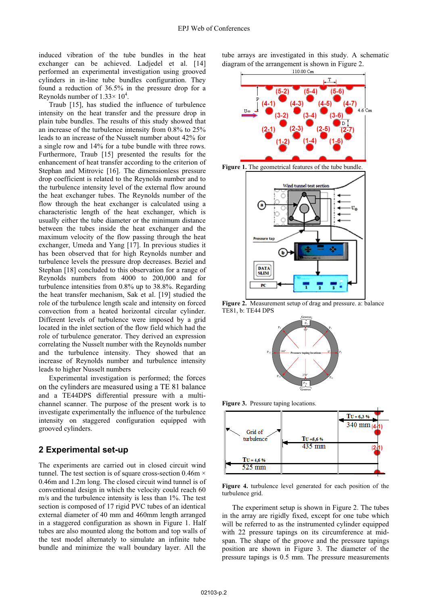induced vibration of the tube bundles in the heat exchanger can be achieved. Ladjedel et al. [14] performed an experimental investigation using grooved cylinders in in-line tube bundles configuration. They found a reduction of 36.5% in the pressure drop for a Reynolds number of  $1.33 \times 10^4$ .

Traub [15], has studied the influence of turbulence intensity on the heat transfer and the pressure drop in plain tube bundles. The results of this study showed that an increase of the turbulence intensity from 0.8% to 25% leads to an increase of the Nusselt number about 42% for a single row and 14% for a tube bundle with three rows. Furthermore, Traub [15] presented the results for the enhancement of heat transfer according to the criterion of Stephan and Mitrovic [16]. The dimensionless pressure drop coefficient is related to the Reynolds number and to the turbulence intensity level of the external flow around the heat exchanger tubes. The Reynolds number of the flow through the heat exchanger is calculated using a characteristic length of the heat exchanger, which is usually either the tube diameter or the minimum distance between the tubes inside the heat exchanger and the maximum velocity of the flow passing through the heat exchanger, Umeda and Yang [17]. In previous studies it has been observed that for high Reynolds number and turbulence levels the pressure drop decreases. Beziel and Stephan [18] concluded to this observation for a range of Reynolds numbers from 4000 to 200,000 and for turbulence intensities from 0.8% up to 38.8%. Regarding the heat transfer mechanism, Sak et al. [19] studied the role of the turbulence length scale and intensity on forced convection from a heated horizontal circular cylinder. Different levels of turbulence were imposed by a grid located in the inlet section of the flow field which had the role of turbulence generator. They derived an expression correlating the Nusselt number with the Reynolds number and the turbulence intensity. They showed that an increase of Reynolds number and turbulence intensity leads to higher Nusselt numbers

Experimental investigation is performed; the forces on the cylinders are measured using a TE 81 balance and a TE44DPS differential pressure with a multichannel scanner. The purpose of the present work is to investigate experimentally the influence of the turbulence intensity on staggered configuration equipped with grooved cylinders.

## **2 Experimental set-up**

The experiments are carried out in closed circuit wind tunnel. The test section is of square cross-section  $0.46m \times$ 0.46m and 1.2m long. The closed circuit wind tunnel is of conventional design in which the velocity could reach 60 m/s and the turbulence intensity is less than 1%. The test section is composed of 17 rigid PVC tubes of an identical external diameter of 40 mm and 460mm length arranged in a staggered configuration as shown in Figure 1. Half tubes are also mounted along the bottom and top walls of the test model alternately to simulate an infinite tube bundle and minimize the wall boundary layer. All the

tube arrays are investigated in this study. A schematic diagram of the arrangement is shown in Figure 2.







**Figure 2.** Measurement setup of drag and pressure. a: balance TE81, b: TE44 DPS



**Figure 3.** Pressure taping locations.



**Figure 4.** turbulence level generated for each position of the turbulence grid.

The experiment setup is shown in Figure 2. The tubes in the array are rigidly fixed, except for one tube which will be referred to as the instrumented cylinder equipped with 22 pressure tapings on its circumference at midspan. The shape of the groove and the pressure tapings position are shown in Figure 3. The diameter of the pressure tapings is 0.5 mm. The pressure measurements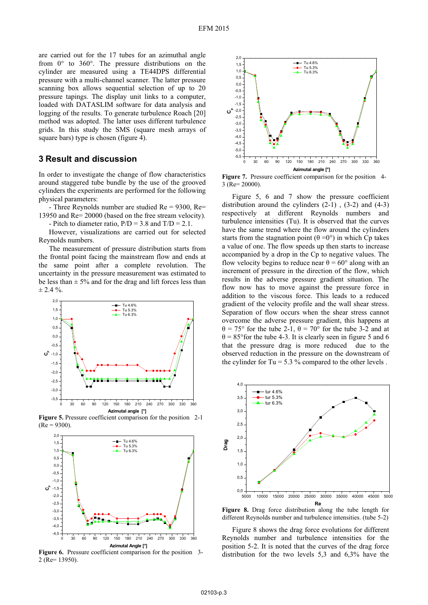are carried out for the 17 tubes for an azimuthal angle from 0° to 360°. The pressure distributions on the cylinder are measured using a TE44DPS differential pressure with a multi-channel scanner. The latter pressure scanning box allows sequential selection of up to 20 pressure tapings. The display unit links to a computer, loaded with DATASLIM software for data analysis and logging of the results. To generate turbulence Roach [20] method was adopted. The latter uses different turbulence grids. In this study the SMS (square mesh arrays of square bars) type is chosen (figure 4).

#### **3 Result and discussion**

In order to investigate the change of flow characteristics around staggered tube bundle by the use of the grooved cylinders the experiments are performed for the following physical parameters:

- Three Reynolds number are studied Re = 9300, Re= 13950 and Re= 20000 (based on the free stream velocity).

- Pitch to diameter ratio,  $P/D = 3.8$  and  $T/D = 2.1$ .

However, visualizations are carried out for selected Reynolds numbers.

The measurement of pressure distribution starts from the frontal point facing the mainstream flow and ends at the same point after a complete revolution. The uncertainty in the pressure measurement was estimated to be less than  $\pm$  5% and for the drag and lift forces less than  $\pm$  2.4 %.



**Figure 5.** Pressure coefficient comparison for the position 2-1  $(Re = 9300)$ .



Figure 6. Pressure coefficient comparison for the position 3-2 (Re= 13950).



**Figure 7.** Pressure coefficient comparison for the position 4- 3 (Re= 20000).

Figure 5, 6 and 7 show the pressure coefficient distribution around the cylinders  $(2-1)$ ,  $(3-2)$  and  $(4-3)$ respectively at different Reynolds numbers and turbulence intensities (Tu). It is observed that the curves have the same trend where the flow around the cylinders starts from the stagnation point  $(\theta = 0^{\circ})$  in which Cp takes a value of one. The flow speeds up then starts to increase accompanied by a drop in the Cp to negative values. The flow velocity begins to reduce near  $\theta = 60^{\circ}$  along with an increment of pressure in the direction of the flow, which results in the adverse pressure gradient situation. The flow now has to move against the pressure force in addition to the viscous force. This leads to a reduced gradient of the velocity profile and the wall shear stress. Separation of flow occurs when the shear stress cannot overcome the adverse pressure gradient, this happens at  $\theta$  = 75° for the tube 2-1,  $\theta$  = 70° for the tube 3-2 and at  $\theta$  = 85° for the tube 4-3. It is clearly seen in figure 5 and 6 that the pressure drag is more reduced due to the observed reduction in the pressure on the downstream of the cylinder for Tu =  $5.3\%$  compared to the other levels.



**Figure 8.** Drag force distribution along the tube length for different Reynolds number and turbulence intensities. (tube 5-2)

Figure 8 shows the drag force evolutions for different Reynolds number and turbulence intensities for the position 5-2. It is noted that the curves of the drag force distribution for the two levels 5,3 and 6,3% have the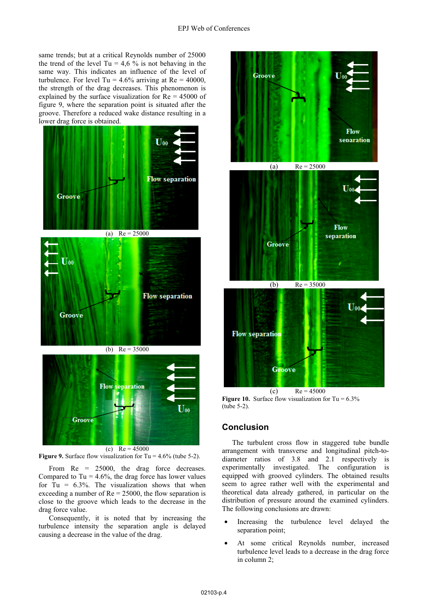same trends; but at a critical Reynolds number of 25000 the trend of the level Tu = 4,6 % is not behaving in the same way. This indicates an influence of the level of turbulence. For level Tu =  $4.6\%$  arriving at Re =  $40000$ , the strength of the drag decreases. This phenomenon is explained by the surface visualization for  $Re = 45000$  of figure 9, where the separation point is situated after the groove. Therefore a reduced wake distance resulting in a lower drag force is obtained.



(c)  $Re = 45000$ 

**Figure 9.** Surface flow visualization for Tu = 4.6% (tube 5-2).

From Re = 25000, the drag force decreases. Compared to Tu =  $4.6\%$ , the drag force has lower values for Tu =  $6.3\%$ . The visualization shows that when exceeding a number of  $Re = 25000$ , the flow separation is close to the groove which leads to the decrease in the drag force value.

Consequently, it is noted that by increasing the turbulence intensity the separation angle is delayed causing a decrease in the value of the drag.



**Figure 10.** Surface flow visualization for  $Tu = 6.3\%$ (tube 5-2).

## **Conclusion**

The turbulent cross flow in staggered tube bundle arrangement with transverse and longitudinal pitch-todiameter ratios of 3.8 and 2.1 respectively is experimentally investigated. The configuration is equipped with grooved cylinders. The obtained results seem to agree rather well with the experimental and theoretical data already gathered, in particular on the distribution of pressure around the examined cylinders. The following conclusions are drawn:

- Increasing the turbulence level delayed the separation point;
- At some critical Reynolds number, increased turbulence level leads to a decrease in the drag force in column 2;